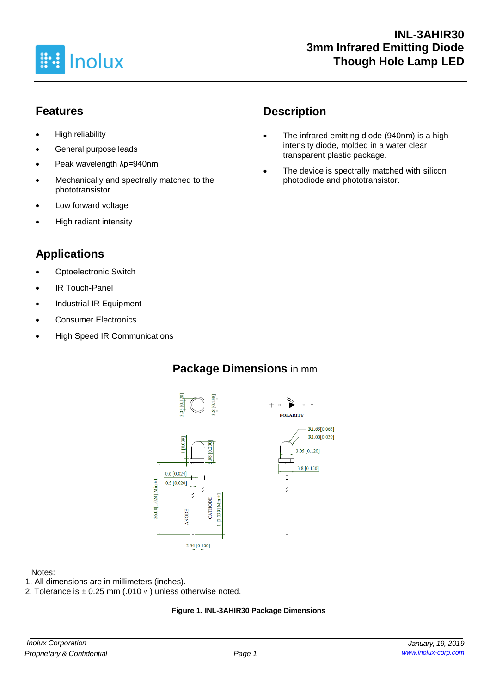

# **Features**

- High reliability
- General purpose leads
- Peak wavelength λp=940nm
- Mechanically and spectrally matched to the phototransistor
- Low forward voltage
- High radiant intensity

# **Applications**

- **Optoelectronic Switch**
- IR Touch-Panel
- Industrial IR Equipment
- Consumer Electronics
- High Speed IR Communications

# **Description**

- The infrared emitting diode (940nm) is a high intensity diode, molded in a water clear transparent plastic package.
- The device is spectrally matched with silicon photodiode and phototransistor.

# **Package Dimensions** in mm







#### Notes:

- 1. All dimensions are in millimeters (inches).
- 2. Tolerance is  $\pm$  0.25 mm (.010  $\prime\prime$  ) unless otherwise noted.

#### **Figure 1. INL-3AHIR30 Package Dimensions**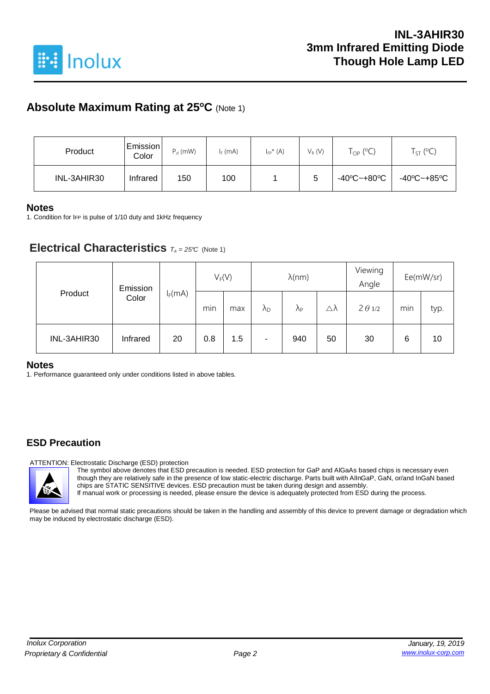

# **Absolute Maximum Rating at 25<sup>o</sup>C** (Note 1)

| Product     | Emission<br>Color | $P_d$ (mW) | $I_F$ (mA) | $I_{FP}^*(A)$ | $V_R(V)$ | $\mathsf{T}_{\mathsf{OP}}$ (°C) | $T_{ST}$ (°C) |
|-------------|-------------------|------------|------------|---------------|----------|---------------------------------|---------------|
| INL-3AHIR30 | Infrared          | 150        | 100        |               | 5        | -40°C~+80°C                     | -40°C~+85°C   |

#### **Notes**

1. Condition for IFP is pulse of 1/10 duty and 1kHz frequency

### **Electrical Characteristics**  $T_A = 25^\circ C$  (Note 1)

| Product     | Emission |           | $V_F(V)$ |     | $\lambda$ (nm)       |                      |                     | Viewing<br>Angle | Ee(mW/sr) |      |
|-------------|----------|-----------|----------|-----|----------------------|----------------------|---------------------|------------------|-----------|------|
|             | Color    | $I_F(mA)$ | min      | max | $\lambda_{\text{D}}$ | $\Lambda_{\text{P}}$ | $\triangle \lambda$ | $2 \theta 1/2$   | min       | typ. |
| INL-3AHIR30 | Infrared | 20        | 0.8      | 1.5 | ۰                    | 940                  | 50                  | 30               | 6         | 10   |

#### **Notes**

1. Performance guaranteed only under conditions listed in above tables.

### **ESD Precaution**

ATTENTION: Electrostatic Discharge (ESD) protection

The symbol above denotes that ESD precaution is needed. ESD protection for GaP and AlGaAs based chips is necessary even though they are relatively safe in the presence of low static-electric discharge. Parts built with AlInGaP, GaN, or/and InGaN based chips are STATIC SENSITIVE devices. ESD precaution must be taken during design and assembly. If manual work or processing is needed, please ensure the device is adequately protected from ESD during the process.

Please be advised that normal static precautions should be taken in the handling and assembly of this device to prevent damage or degradation which may be induced by electrostatic discharge (ESD).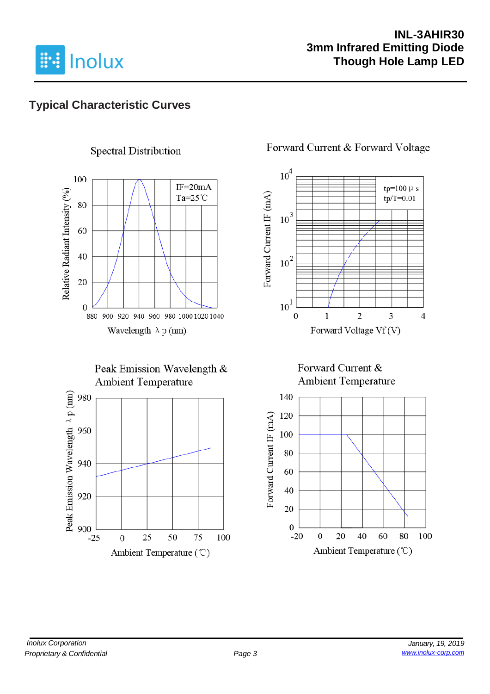

# **Typical Characteristic Curves**

## **Spectral Distribution**



### Peak Emission Wavelength & **Ambient Temperature**



### Forward Current & Forward Voltage



### Forward Current & **Ambient Temperature**

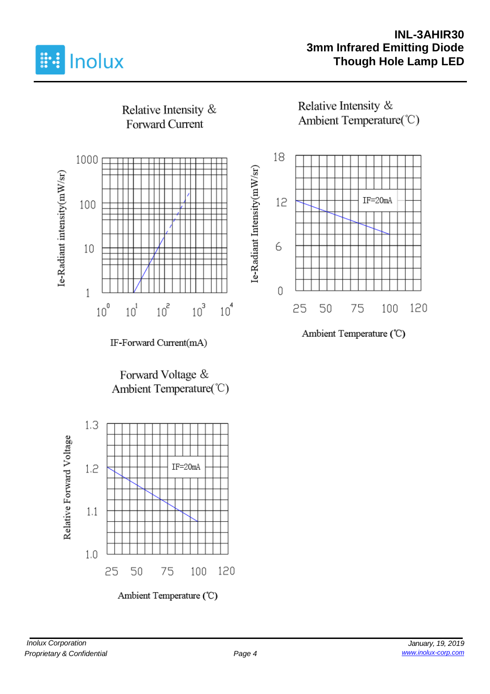

### **INL-3AHIR30 3mm Infrared Emitting Diode Though Hole Lamp LED**



Ambient Temperature (°C)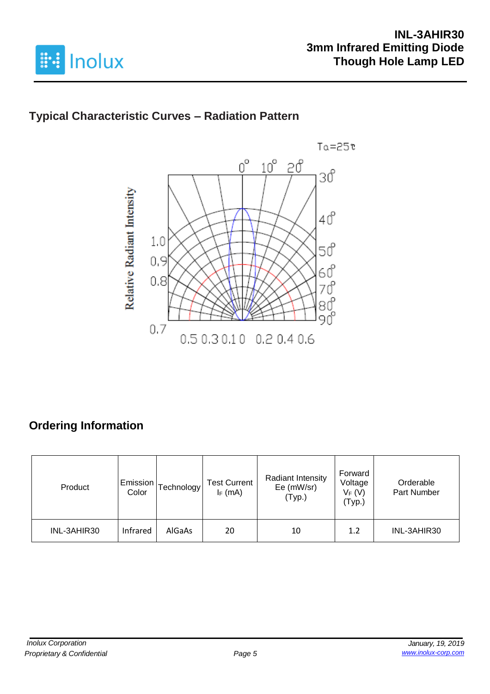

# **Typical Characteristic Curves – Radiation Pattern**



# **Ordering Information**

| Product     | Emission<br>Color | [echnology | <b>Test Current</b><br>$I_F$ (mA) | <b>Radiant Intensity</b><br>Ee (mW/sr)<br>(Typ.) | Forward<br>Voltage<br>$V_F(V)$<br>(Typ.) | Orderable<br>Part Number |
|-------------|-------------------|------------|-----------------------------------|--------------------------------------------------|------------------------------------------|--------------------------|
| INL-3AHIR30 | Infrared          | AlGaAs     | 20                                | 10                                               | 1.2                                      | INL-3AHIR30              |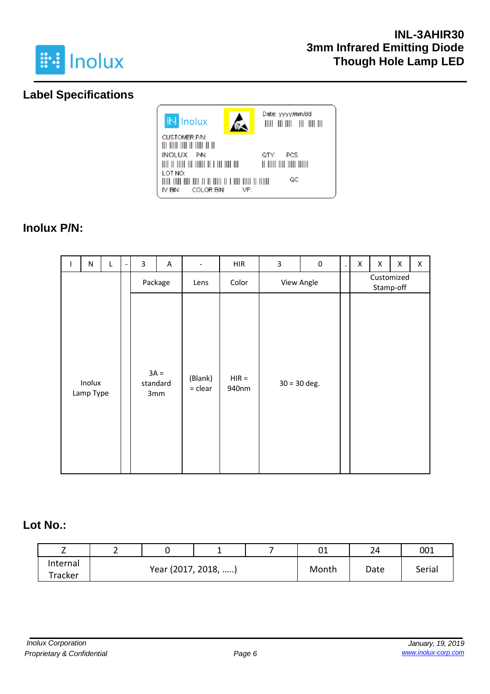

# **Label Specifications**



# **Inolux P/N:**

| $\mathbf{I}$ | ${\sf N}$           | L | 3 | A                         | $\overline{\phantom{a}}$ | <b>HIR</b>       | 3              | $\pmb{0}$ | $\blacksquare$ | Χ | X                       | X | X |
|--------------|---------------------|---|---|---------------------------|--------------------------|------------------|----------------|-----------|----------------|---|-------------------------|---|---|
|              | Package             |   |   | Lens                      | Color                    |                  | View Angle     |           |                |   | Customized<br>Stamp-off |   |   |
|              | Inolux<br>Lamp Type |   |   | $3A =$<br>standard<br>3mm | (Blank)<br>$=$ clear     | $HIR =$<br>940nm | $30 = 30$ deg. |           |                |   |                         |   |   |

### **Lot No.:**

| -        | - |                     |  |       | 01   | 24     | 001 |
|----------|---|---------------------|--|-------|------|--------|-----|
| Internal |   |                     |  |       |      |        |     |
| Tracker  |   | Year (2017, 2018, ) |  | Month | Date | Serial |     |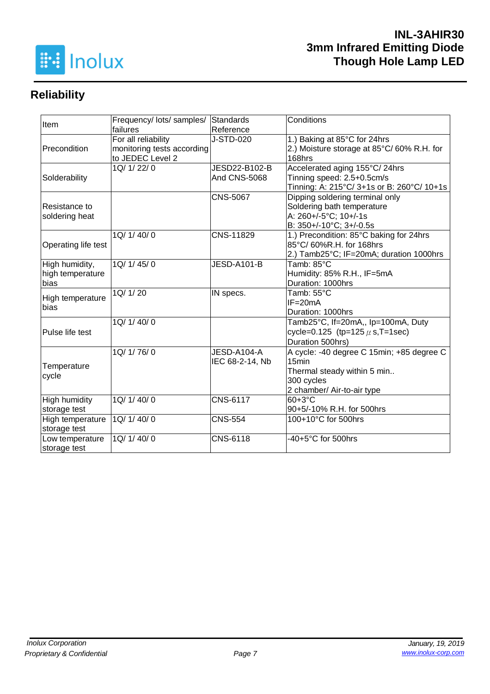

# **Reliability**

| Item                 | Frequency/ lots/ samples/  | Standards           | Conditions                                 |  |  |
|----------------------|----------------------------|---------------------|--------------------------------------------|--|--|
|                      | failures                   | Reference           |                                            |  |  |
|                      | For all reliability        | J-STD-020           | 1.) Baking at 85°C for 24hrs               |  |  |
| Precondition         | monitoring tests according |                     | 2.) Moisture storage at 85°C/60% R.H. for  |  |  |
|                      | to JEDEC Level 2           |                     | 168hrs                                     |  |  |
|                      | 1Q/ 1/ 22/ 0               | JESD22-B102-B       | Accelerated aging 155°C/24hrs              |  |  |
| Solderability        |                            | <b>And CNS-5068</b> | Tinning speed: 2.5+0.5cm/s                 |  |  |
|                      |                            |                     | Tinning: A: 215°C/ 3+1s or B: 260°C/ 10+1s |  |  |
|                      |                            | <b>CNS-5067</b>     | Dipping soldering terminal only            |  |  |
| Resistance to        |                            |                     | Soldering bath temperature                 |  |  |
| soldering heat       |                            |                     | A: 260+/-5°C; 10+/-1s                      |  |  |
|                      |                            |                     | B: 350+/-10°C; 3+/-0.5s                    |  |  |
|                      | 1Q/ 1/ 40/ 0               | CNS-11829           | 1.) Precondition: 85°C baking for 24hrs    |  |  |
| Operating life test  |                            |                     | 85°C/ 60%R.H. for 168hrs                   |  |  |
|                      |                            |                     | 2.) Tamb25°C; IF=20mA; duration 1000hrs    |  |  |
| High humidity,       | 1Q/1/45/0                  | JESD-A101-B         | Tamb: 85°C                                 |  |  |
| high temperature     |                            |                     | Humidity: 85% R.H., IF=5mA                 |  |  |
| bias                 |                            |                     | Duration: 1000hrs                          |  |  |
| High temperature     | 1Q/ 1/ 20                  | IN specs.           | Tamb: 55°C                                 |  |  |
| bias                 |                            |                     | $IF = 20mA$                                |  |  |
|                      |                            |                     | Duration: 1000hrs                          |  |  |
|                      | 1Q/1/40/0                  |                     | Tamb25°C, If=20mA,, Ip=100mA, Duty         |  |  |
| Pulse life test      |                            |                     | cycle=0.125 (tp=125 $\mu$ s, T=1sec)       |  |  |
|                      |                            |                     | Duration 500hrs)                           |  |  |
|                      | 1Q/ 1/ 76/ 0               | JESD-A104-A         | A cycle: -40 degree C 15min; +85 degree C  |  |  |
|                      |                            | IEC 68-2-14, Nb     | 15 <sub>min</sub>                          |  |  |
| Temperature          |                            |                     | Thermal steady within 5 min                |  |  |
| cycle                |                            |                     | 300 cycles                                 |  |  |
|                      |                            |                     | 2 chamber/ Air-to-air type                 |  |  |
| <b>High humidity</b> | 1Q/ 1/ 40/ 0               | <b>CNS-6117</b>     | $60+3°C$                                   |  |  |
| storage test         |                            |                     | 90+5/-10% R.H. for 500hrs                  |  |  |
| High temperature     | 1Q/ 1/ 40/ 0               | <b>CNS-554</b>      | 100+10°C for 500hrs                        |  |  |
| storage test         |                            |                     |                                            |  |  |
| Low temperature      | 1Q/ 1/ 40/ 0               | CNS-6118            | -40+5°C for 500hrs                         |  |  |
| storage test         |                            |                     |                                            |  |  |